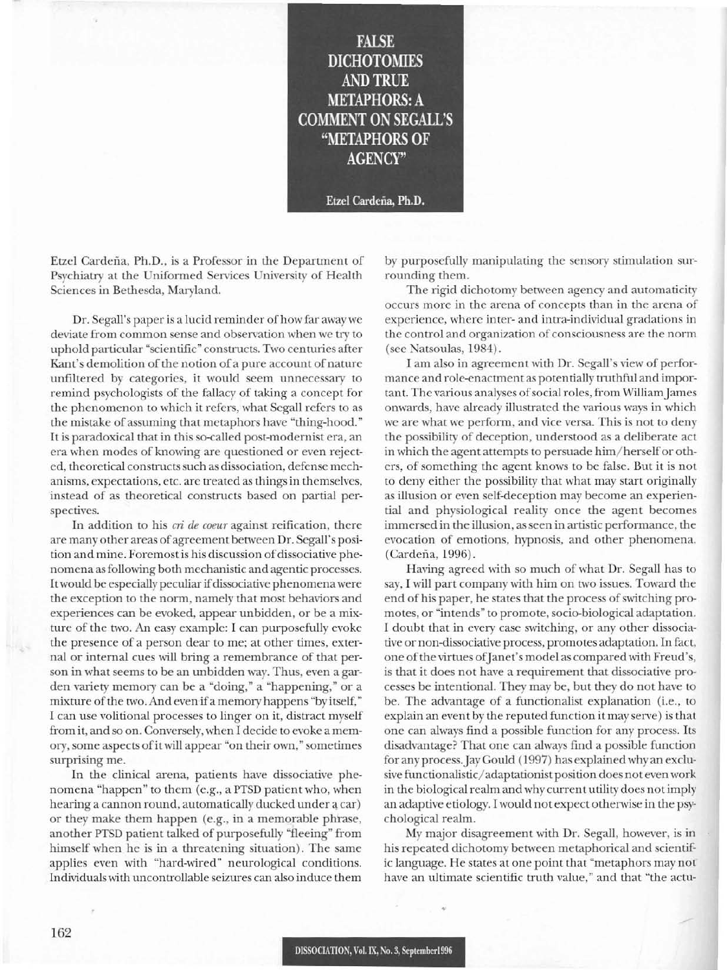**FALSE DICHOTOMIES** AND TRUE **METAPHORS: A COMMENT ON SEGALL'S "METAPHORS OF AGENCY"**

**Etzel** Cardeiia, **Ph.D.**

Etzel Cardena, Ph.D., is a Professor in the Department of Psychiatry at the Uniformed Services University of Health Sciences in Bethesda, Maryland.

Dr. Segall's paper is a lucid reminder of how far away we deviate from common sense and observation when we try to uphold particular "scientific" constructs. Two centuries after Kant's demolition of the notion of a pure account of nature unfiltered by categories, it would seem unnecessary to remind psychologists of the fallacy of taking a concept for the phenomenon to which it refers, what Segall refers to as the mistake of assuming that metaphors have "thing-hood." It is paradoxical that in this so-called post-modernist era, an era when modes of knowing are questioned or even rejected, theoretical constructs such as dissociation, defense mechanisms, expectations, etc. are treated as things in themselves, instead of as theoretical constructs based on partial perspectives.

In addition to his *cri de coeur* against reification, there are many other areas of agreement between Dr. Segall's position and mine. Foremost is his discussion of dissociative phenomena asfollowing both mechanistic and agentic processes. It would be especially peculiar if dissociative phenomena were the exception to the norm, namely that most behaviors and experiences can be evoked, appear unbidden, or be a mixture of the two. An easy example: I can purposefully evoke the presence of a person dear to me; at other times, external or internal cues will bring a remembrance of that person in what seems to be an unbidden way. Thus, even a garden variety memory can be a "doing," a "happening," or a mixture of the two. And even if a memory happens "by itself," I can use volitional processes to linger on it, distract myself from it, and so on. Conversely, when I decide to evoke a memory, some aspects of it will appear "on their own," sometimes surprising me.

In the clinical arena, patients have dissociative phenomena "happen" to them (e.g., a PTSD patient who, when hearing a cannon round, automatically ducked under a car) or they make them happen (e.g., in a memorable phrase, another PTSD patient talked of purposefully "fleeing" from himself when he is in a threatening situation). The same applies even with "hard-wired" neurological conditions. Individuals with uncontrollable seizures can also induce them

by purposefully manipulating the sensory stimulation surrounding them.

The rigid dichotomy between agency and automaticity occurs more in the arena of concepts than in the arena of experience, where inter- and intra-individual gradations in the control and organization of consciousness are the norm (see Natsoulas, 1984).

I am also in agreement with Dr. Segall's view of performance and role-enactment as potentially truthful and important. The various analyses of social roles, from William James onwards, have already illustrated the various ways in which we are what we perform, and vice versa. This is not to deny the possibility of deception, understood as a deliberate act in which the agent attempts to persuade him/herself or others, of something the agent knows to be false. But it is not to deny either the possibility that what may start originally as illusion or even self-deception may become an experiential and physiological reality once the agent becomes immersed in the illusion, as seen in artistic performance, the evocation of emotions, hypnosis, and other phenomena. (Cardena, 1996).

Having agreed with so much of what Dr. Segall has to say, I will part company with him on two issues. Toward the end of his paper, he states that the process of switching promotes, or "intends" to promote, socio-biological adaptation. I doubt that in every case switching, or any other dissociative or non-dissociative process, promotes adaptation. In fact, one of the virtues of Janet's model as compared with Freud's, is that it does not have a requirement that dissociative processes be intentional. They may be, but they do not have to be. The advantage of a functionalist explanation (i.e., to explain an event by the reputed function it may serve) is that one can always find a possible function for any process. Its disadvan tage? That one can always find a possible function for any process. Jay Gould (1997) has explained why an exclusive functionalistic/adaptationist position does not even work in the biological realm and why current utility does not imply an adaptive etiology. I would not expect otherwise in the psychological realm.

My major disagreement with Dr. Segall, however, is in his repeated dichotomy between metaphorical and scientific language. He states at one point that "metaphors may not have an ultimate scientific truth value," and that "the actu-